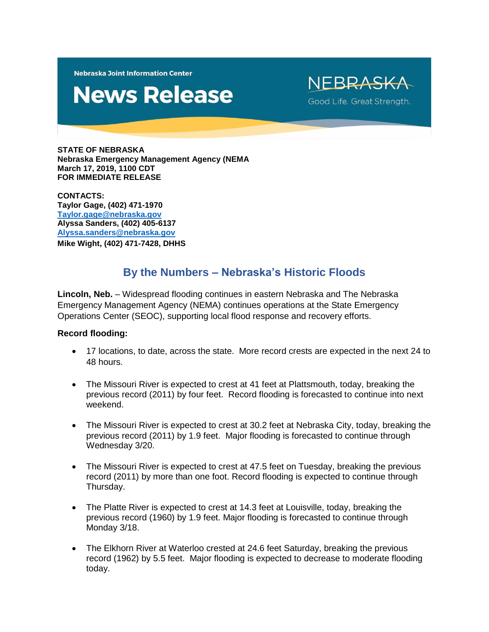**Nebraska Joint Information Center** 

# **News Release**

NFBRASKA Good Life. Great Strength.

**STATE OF NEBRASKA Nebraska Emergency Management Agency (NEMA March 17, 2019, 1100 CDT FOR IMMEDIATE RELEASE**

**CONTACTS: Taylor Gage, (402) 471-1970 [Taylor.gage@nebraska.gov](mailto:Taylor.gage@nebraska.gov) Alyssa Sanders, (402) 405-6137 [Alyssa.sanders@nebraska.gov](mailto:Alyssa.sanders@nebraska.gov) Mike Wight, (402) 471-7428, DHHS**

# **By the Numbers – Nebraska's Historic Floods**

**Lincoln, Neb.** – Widespread flooding continues in eastern Nebraska and The Nebraska Emergency Management Agency (NEMA) continues operations at the State Emergency Operations Center (SEOC), supporting local flood response and recovery efforts.

#### **Record flooding:**

- 17 locations, to date, across the state. More record crests are expected in the next 24 to 48 hours.
- The Missouri River is expected to crest at 41 feet at Plattsmouth, today, breaking the previous record (2011) by four feet. Record flooding is forecasted to continue into next weekend.
- The Missouri River is expected to crest at 30.2 feet at Nebraska City, today, breaking the previous record (2011) by 1.9 feet. Major flooding is forecasted to continue through Wednesday 3/20.
- The Missouri River is expected to crest at 47.5 feet on Tuesday, breaking the previous record (2011) by more than one foot. Record flooding is expected to continue through Thursday.
- The Platte River is expected to crest at 14.3 feet at Louisville, today, breaking the previous record (1960) by 1.9 feet. Major flooding is forecasted to continue through Monday 3/18.
- The Elkhorn River at Waterloo crested at 24.6 feet Saturday, breaking the previous record (1962) by 5.5 feet. Major flooding is expected to decrease to moderate flooding today.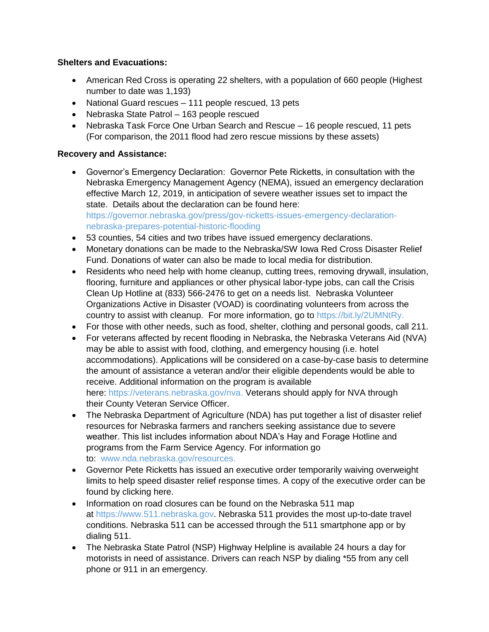### **Shelters and Evacuations:**

- American Red Cross is operating 22 shelters, with a population of 660 people (Highest number to date was 1,193)
- National Guard rescues 111 people rescued, 13 pets
- Nebraska State Patrol 163 people rescued
- Nebraska Task Force One Urban Search and Rescue 16 people rescued, 11 pets (For comparison, the 2011 flood had zero rescue missions by these assets)

## **Recovery and Assistance:**

- Governor's Emergency Declaration: Governor Pete Ricketts, in consultation with the Nebraska Emergency Management Agency (NEMA), issued an emergency declaration effective March 12, 2019, in anticipation of severe weather issues set to impact the state. Details about the declaration can be found here: [https://governor.nebraska.gov/press/gov-ricketts-issues-emergency-declaration](https://governor.nebraska.gov/press/gov-ricketts-issues-emergency-declaration-nebraska-prepares-potential-historic-flooding)[nebraska-prepares-potential-historic-flooding](https://governor.nebraska.gov/press/gov-ricketts-issues-emergency-declaration-nebraska-prepares-potential-historic-flooding)
- 53 counties, 54 cities and two tribes have issued emergency declarations.
- Monetary donations can be made to the [Nebraska/SW Iowa Red Cross](https://mail.nebraska.gov/owa/redir.aspx?C=LMFe379-3s2lwBLio60VffZygXyIu6qEkm9Qt8gqf_3BDp6gJarWCA..&URL=https%3a%2f%2fwww.facebook.com%2fNEIARedCross%2f%3f__tn__%3dK-R%26eid%3dARAZOGnJszHVahX1BiYdqtcAXMgrlS1W3fuCKG2yg_bTT6HlrZtHzo_lJnqZaWbi8x2hCQHrQx8Quw38%26fref%3dmentions%26__xts__%255B0%255D%3d68.ARAkJsMH6Von_rbejADhh40ysQHEh6upv09Y1fIX69S--bW_kuDpvZjA8U6pYxsCVwHKsnITmAe2QLE8GROBgMLa2OPhIMdDlfMLoeuLdIZSMBYprePZbAWRZObWuJNZZzW-j3_gZKzYI_Svh7VblxGouKcNCkvf3sotofZsWJAoG_x_i2YB2gsWm86ue5JM--mLlmMAwVMD9yuQG0Q22VkPgMfM4BqYSY7sGop8g-FYHrZiRGdN-tBEk_Ntzjs5DsMCdh5IGfoBfX2m824nN9vIUBkaXiuj_i-K8TGLvIHDVVh90OQ198CaL3uaj0qibfdy7bCNBca4fZquRqHp-w) Disaster Relief Fund. Donations of water can also be made to local media for distribution.
- Residents who need help with home cleanup, cutting trees, removing drywall, insulation, flooring, furniture and appliances or other physical labor-type jobs, can call the Crisis Clean Up Hotline at (833) 566-2476 to get on a needs list. Nebraska Volunteer Organizations Active in Disaster (VOAD) is coordinating volunteers from across the country to assist with cleanup. For more information, go to [https://bit.ly/2UMNtRy.](https://bit.ly/2UMNtRy)
- For those with other needs, such as food, shelter, clothing and personal goods, call 211.
- For veterans affected by recent flooding in Nebraska, the Nebraska Veterans Aid (NVA) may be able to assist with food, clothing, and emergency housing (i.e. hotel accommodations). Applications will be considered on a case-by-case basis to determine the amount of assistance a veteran and/or their eligible dependents would be able to receive. Additional information on the program is available here: [https://veterans.nebraska.gov/nva.](https://mail.nebraska.gov/owa/redir.aspx?C=EZUeshvIHVtIQmJnj6Zj7jo6fkyE_XdntN55B9ZKr2AbcaCgJarWCA..&URL=https%3a%2f%2fveterans.nebraska.gov%2fnva) Veterans should apply for NVA through their [County Veteran Service Officer.](https://mail.nebraska.gov/owa/redir.aspx?C=f2Lz-YQ1Ot66_K-WFpjczZPMZZ5bX2BnvB-e78OiOMcbcaCgJarWCA..&URL=https%3a%2f%2fveterans.nebraska.gov%2fcvso)
- The Nebraska Department of Agriculture (NDA) has put together a list of disaster relief resources for Nebraska farmers and ranchers seeking assistance due to severe weather. This list includes information about NDA's Hay and Forage Hotline and programs from the Farm Service Agency. For information go to: [www.nda.nebraska.gov/resources.](https://mail.nebraska.gov/owa/redir.aspx?C=WNRb85gQsWqB0Cx8zb4G_ssMh19lBF71AnCHRcv4S4obcaCgJarWCA..&URL=http%3a%2f%2fwww.nda.nebraska.gov%2fresources)
- Governor Pete Ricketts has issued an executive order temporarily waiving overweight limits to help speed disaster relief response times. A copy of the executive order can be found by [clicking here.](https://mail.nebraska.gov/owa/redir.aspx?C=f9xsMjq71uM80dtOdmvRitysPSyt267jUsLSr5UQFGwbcaCgJarWCA..&URL=https%3a%2f%2fwww.dropbox.com%2fs%2flq0il3wlcx4cnvs%2fEO%252019-02.pdf%3fdl%3d0)
- Information on road closures can be found on the Nebraska 511 map at [https://www.511.nebraska.gov.](https://mail.nebraska.gov/owa/redir.aspx?C=llP2Hek8PVcWaCimNA_5bF-MWPPB_NEF-Yf15enbNQIbcaCgJarWCA..&URL=https%3a%2f%2fwww.511.nebraska.gov%2f) Nebraska 511 provides the most up-to-date travel conditions. Nebraska 511 can be accessed through the 511 smartphone app or by dialing 511.
- The Nebraska State Patrol (NSP) Highway Helpline is available 24 hours a day for motorists in need of assistance. Drivers can reach NSP by dialing \*55 from any cell phone or 911 in an emergency.